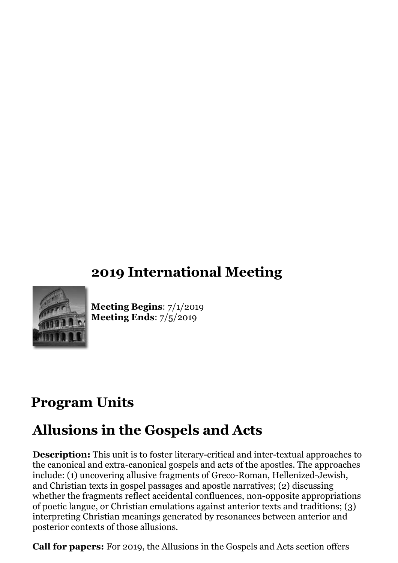## **2019 International Meeting**



**Meeting Begins**: 7/1/2019 **Meeting Ends**: 7/5/2019

## **Program Units**

# **Allusions in the Gospels and Acts**

**Description:** This unit is to foster literary-critical and inter-textual approaches to the canonical and extra-canonical gospels and acts of the apostles. The approaches include: (1) uncovering allusive fragments of Greco-Roman, Hellenized-Jewish, and Christian texts in gospel passages and apostle narratives; (2) discussing whether the fragments reflect accidental confluences, non-opposite appropriations of poetic langue, or Christian emulations against anterior texts and traditions; (3) interpreting Christian meanings generated by resonances between anterior and posterior contexts of those allusions.

**Call for papers:** For 2019, the Allusions in the Gospels and Acts section offers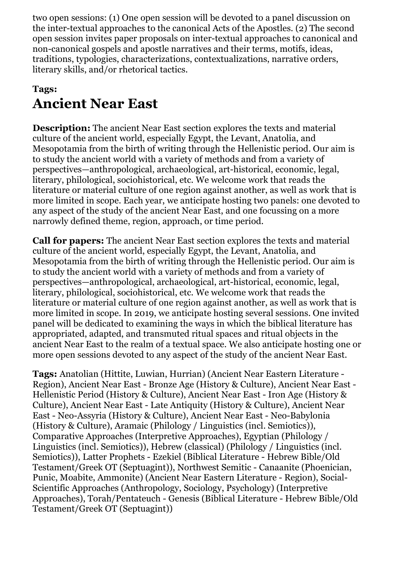two open sessions: (1) One open session will be devoted to a panel discussion on the inter-textual approaches to the canonical Acts of the Apostles. (2) The second open session invites paper proposals on inter-textual approaches to canonical and non-canonical gospels and apostle narratives and their terms, motifs, ideas, traditions, typologies, characterizations, contextualizations, narrative orders, literary skills, and/or rhetorical tactics.

### **Tags: Ancient Near East**

**Description:** The ancient Near East section explores the texts and material culture of the ancient world, especially Egypt, the Levant, Anatolia, and Mesopotamia from the birth of writing through the Hellenistic period. Our aim is to study the ancient world with a variety of methods and from a variety of perspectives—anthropological, archaeological, art-historical, economic, legal, literary, philological, sociohistorical, etc. We welcome work that reads the literature or material culture of one region against another, as well as work that is more limited in scope. Each year, we anticipate hosting two panels: one devoted to any aspect of the study of the ancient Near East, and one focussing on a more narrowly defined theme, region, approach, or time period.

**Call for papers:** The ancient Near East section explores the texts and material culture of the ancient world, especially Egypt, the Levant, Anatolia, and Mesopotamia from the birth of writing through the Hellenistic period. Our aim is to study the ancient world with a variety of methods and from a variety of perspectives—anthropological, archaeological, art-historical, economic, legal, literary, philological, sociohistorical, etc. We welcome work that reads the literature or material culture of one region against another, as well as work that is more limited in scope. In 2019, we anticipate hosting several sessions. One invited panel will be dedicated to examining the ways in which the biblical literature has appropriated, adapted, and transmuted ritual spaces and ritual objects in the ancient Near East to the realm of a textual space. We also anticipate hosting one or more open sessions devoted to any aspect of the study of the ancient Near East.

**Tags:** Anatolian (Hittite, Luwian, Hurrian) (Ancient Near Eastern Literature - Region), Ancient Near East - Bronze Age (History & Culture), Ancient Near East - Hellenistic Period (History & Culture), Ancient Near East - Iron Age (History & Culture), Ancient Near East - Late Antiquity (History & Culture), Ancient Near East - Neo-Assyria (History & Culture), Ancient Near East - Neo-Babylonia (History & Culture), Aramaic (Philology / Linguistics (incl. Semiotics)), Comparative Approaches (Interpretive Approaches), Egyptian (Philology / Linguistics (incl. Semiotics)), Hebrew (classical) (Philology / Linguistics (incl. Semiotics)), Latter Prophets - Ezekiel (Biblical Literature - Hebrew Bible/Old Testament/Greek OT (Septuagint)), Northwest Semitic - Canaanite (Phoenician, Punic, Moabite, Ammonite) (Ancient Near Eastern Literature - Region), Social-Scientific Approaches (Anthropology, Sociology, Psychology) (Interpretive Approaches), Torah/Pentateuch - Genesis (Biblical Literature - Hebrew Bible/Old Testament/Greek OT (Septuagint))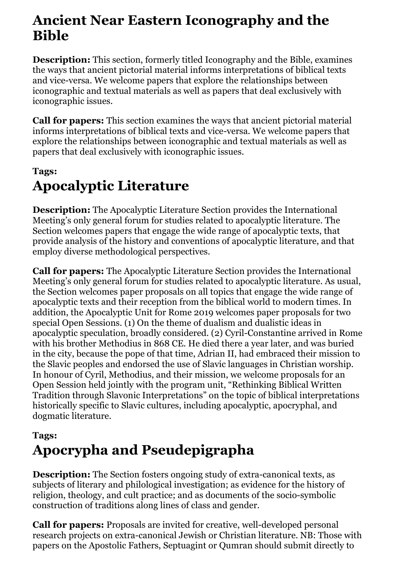## **Ancient Near Eastern Iconography and the Bible**

**Description:** This section, formerly titled Iconography and the Bible, examines the ways that ancient pictorial material informs interpretations of biblical texts and vice-versa. We welcome papers that explore the relationships between iconographic and textual materials as well as papers that deal exclusively with iconographic issues.

**Call for papers:** This section examines the ways that ancient pictorial material informs interpretations of biblical texts and vice-versa. We welcome papers that explore the relationships between iconographic and textual materials as well as papers that deal exclusively with iconographic issues.

#### **Tags:**

# **Apocalyptic Literature**

**Description:** The Apocalyptic Literature Section provides the International Meeting's only general forum for studies related to apocalyptic literature. The Section welcomes papers that engage the wide range of apocalyptic texts, that provide analysis of the history and conventions of apocalyptic literature, and that employ diverse methodological perspectives.

**Call for papers:** The Apocalyptic Literature Section provides the International Meeting's only general forum for studies related to apocalyptic literature. As usual, the Section welcomes paper proposals on all topics that engage the wide range of apocalyptic texts and their reception from the biblical world to modern times. In addition, the Apocalyptic Unit for Rome 2019 welcomes paper proposals for two special Open Sessions. (1) On the theme of dualism and dualistic ideas in apocalyptic speculation, broadly considered. (2) Cyril-Constantine arrived in Rome with his brother Methodius in 868 CE. He died there a year later, and was buried in the city, because the pope of that time, Adrian II, had embraced their mission to the Slavic peoples and endorsed the use of Slavic languages in Christian worship. In honour of Cyril, Methodius, and their mission, we welcome proposals for an Open Session held jointly with the program unit, "Rethinking Biblical Written Tradition through Slavonic Interpretations" on the topic of biblical interpretations historically specific to Slavic cultures, including apocalyptic, apocryphal, and dogmatic literature.

#### **Tags:**

# **Apocrypha and Pseudepigrapha**

**Description:** The Section fosters ongoing study of extra-canonical texts, as subjects of literary and philological investigation; as evidence for the history of religion, theology, and cult practice; and as documents of the socio-symbolic construction of traditions along lines of class and gender.

**Call for papers:** Proposals are invited for creative, well-developed personal research projects on extra-canonical Jewish or Christian literature. NB: Those with papers on the Apostolic Fathers, Septuagint or Qumran should submit directly to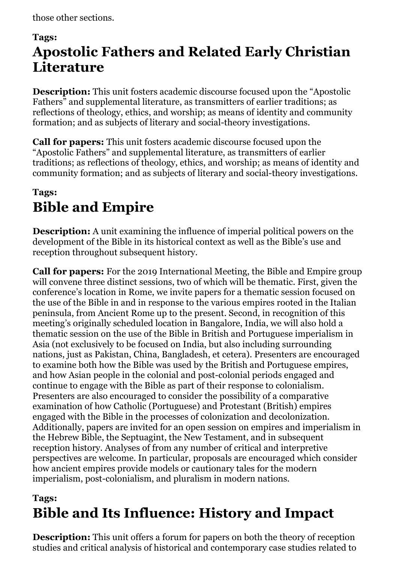those other sections.

#### **Tags:**

# **Apostolic Fathers and Related Early Christian Literature**

**Description:** This unit fosters academic discourse focused upon the "Apostolic Fathers" and supplemental literature, as transmitters of earlier traditions; as reflections of theology, ethics, and worship; as means of identity and community formation; and as subjects of literary and social-theory investigations.

**Call for papers:** This unit fosters academic discourse focused upon the "Apostolic Fathers" and supplemental literature, as transmitters of earlier traditions; as reflections of theology, ethics, and worship; as means of identity and community formation; and as subjects of literary and social-theory investigations.

### **Tags: Bible and Empire**

**Description:** A unit examining the influence of imperial political powers on the development of the Bible in its historical context as well as the Bible's use and reception throughout subsequent history.

**Call for papers:** For the 2019 International Meeting, the Bible and Empire group will convene three distinct sessions, two of which will be thematic. First, given the conference's location in Rome, we invite papers for a thematic session focused on the use of the Bible in and in response to the various empires rooted in the Italian peninsula, from Ancient Rome up to the present. Second, in recognition of this meeting's originally scheduled location in Bangalore, India, we will also hold a thematic session on the use of the Bible in British and Portuguese imperialism in Asia (not exclusively to be focused on India, but also including surrounding nations, just as Pakistan, China, Bangladesh, et cetera). Presenters are encouraged to examine both how the Bible was used by the British and Portuguese empires, and how Asian people in the colonial and post-colonial periods engaged and continue to engage with the Bible as part of their response to colonialism. Presenters are also encouraged to consider the possibility of a comparative examination of how Catholic (Portuguese) and Protestant (British) empires engaged with the Bible in the processes of colonization and decolonization. Additionally, papers are invited for an open session on empires and imperialism in the Hebrew Bible, the Septuagint, the New Testament, and in subsequent reception history. Analyses of from any number of critical and interpretive perspectives are welcome. In particular, proposals are encouraged which consider how ancient empires provide models or cautionary tales for the modern imperialism, post-colonialism, and pluralism in modern nations.

## **Tags: Bible and Its Influence: History and Impact**

**Description:** This unit offers a forum for papers on both the theory of reception studies and critical analysis of historical and contemporary case studies related to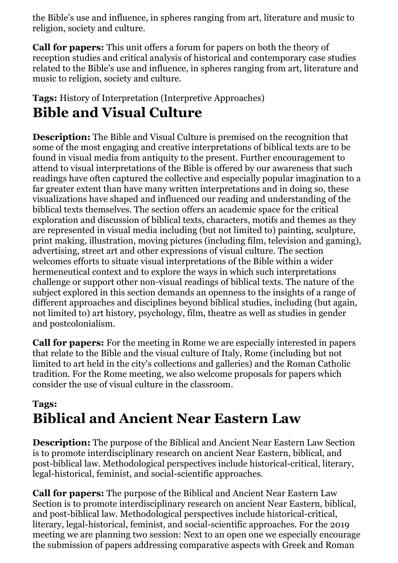the Bible's use and influence, in spheres ranging from art, literature and music to religion, society and culture.

**Call for papers:** This unit offers a forum for papers on both the theory of reception studies and critical analysis of historical and contemporary case studies related to the Bible's use and influence, in spheres ranging from art, literature and music to religion, society and culture.

#### **Tags:** History of Interpretation (Interpretive Approaches) **Bible and Visual Culture**

**Description:** The Bible and Visual Culture is premised on the recognition that some of the most engaging and creative interpretations of biblical texts are to be found in visual media from antiquity to the present. Further encouragement to attend to visual interpretations of the Bible is offered by our awareness that such readings have often captured the collective and especially popular imagination to a far greater extent than have many written interpretations and in doing so, these visualizations have shaped and influenced our reading and understanding of the biblical texts themselves. The section offers an academic space for the critical exploration and discussion of biblical texts, characters, motifs and themes as they are represented in visual media including (but not limited to) painting, sculpture, print making, illustration, moving pictures (including film, television and gaming), advertising, street art and other expressions of visual culture. The section welcomes efforts to situate visual interpretations of the Bible within a wider hermeneutical context and to explore the ways in which such interpretations challenge or support other non-visual readings of biblical texts. The nature of the subject explored in this section demands an openness to the insights of a range of different approaches and disciplines beyond biblical studies, including (but again, not limited to) art history, psychology, film, theatre as well as studies in gender and postcolonialism.

**Call for papers:** For the meeting in Rome we are especially interested in papers that relate to the Bible and the visual culture of Italy, Rome (including but not limited to art held in the city's collections and galleries) and the Roman Catholic tradition. For the Rome meeting, we also welcome proposals for papers which consider the use of visual culture in the classroom.

### **Tags: Biblical and Ancient Near Eastern Law**

**Description:** The purpose of the Biblical and Ancient Near Eastern Law Section is to promote interdisciplinary research on ancient Near Eastern, biblical, and post-biblical law. Methodological perspectives include historical-critical, literary, legal-historical, feminist, and social-scientific approaches.

**Call for papers:** The purpose of the Biblical and Ancient Near Eastern Law Section is to promote interdisciplinary research on ancient Near Eastern, biblical, and post-biblical law. Methodological perspectives include historical-critical, literary, legal-historical, feminist, and social-scientific approaches. For the 2019 meeting we are planning two session: Next to an open one we especially encourage the submission of papers addressing comparative aspects with Greek and Roman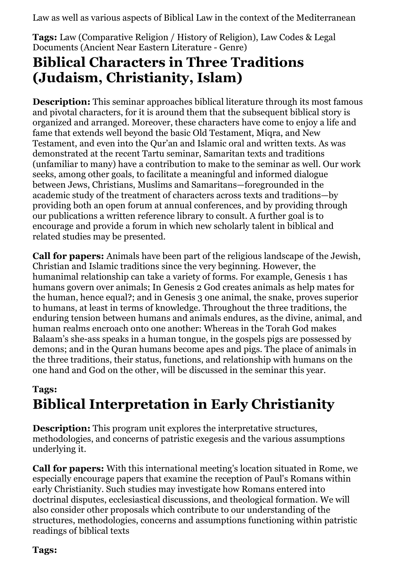Law as well as various aspects of Biblical Law in the context of the Mediterranean

**Tags:** Law (Comparative Religion / History of Religion), Law Codes & Legal Documents (Ancient Near Eastern Literature - Genre)

### **Biblical Characters in Three Traditions (Judaism, Christianity, Islam)**

**Description:** This seminar approaches biblical literature through its most famous and pivotal characters, for it is around them that the subsequent biblical story is organized and arranged. Moreover, these characters have come to enjoy a life and fame that extends well beyond the basic Old Testament, Miqra, and New Testament, and even into the Qur'an and Islamic oral and written texts. As was demonstrated at the recent Tartu seminar, Samaritan texts and traditions (unfamiliar to many) have a contribution to make to the seminar as well. Our work seeks, among other goals, to facilitate a meaningful and informed dialogue between Jews, Christians, Muslims and Samaritans—foregrounded in the academic study of the treatment of characters across texts and traditions—by providing both an open forum at annual conferences, and by providing through our publications a written reference library to consult. A further goal is to encourage and provide a forum in which new scholarly talent in biblical and related studies may be presented.

**Call for papers:** Animals have been part of the religious landscape of the Jewish, Christian and Islamic traditions since the very beginning. However, the humanimal relationship can take a variety of forms. For example, Genesis 1 has humans govern over animals; In Genesis 2 God creates animals as help mates for the human, hence equal?; and in Genesis 3 one animal, the snake, proves superior to humans, at least in terms of knowledge. Throughout the three traditions, the enduring tension between humans and animals endures, as the divine, animal, and human realms encroach onto one another: Whereas in the Torah God makes Balaam's she-ass speaks in a human tongue, in the gospels pigs are possessed by demons; and in the Quran humans become apes and pigs. The place of animals in the three traditions, their status, functions, and relationship with humans on the one hand and God on the other, will be discussed in the seminar this year.

### **Tags: Biblical Interpretation in Early Christianity**

**Description:** This program unit explores the interpretative structures, methodologies, and concerns of patristic exegesis and the various assumptions underlying it.

**Call for papers:** With this international meeting's location situated in Rome, we especially encourage papers that examine the reception of Paul's Romans within early Christianity. Such studies may investigate how Romans entered into doctrinal disputes, ecclesiastical discussions, and theological formation. We will also consider other proposals which contribute to our understanding of the structures, methodologies, concerns and assumptions functioning within patristic readings of biblical texts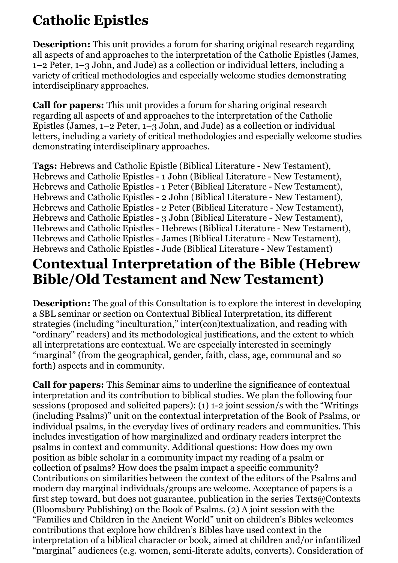# **Catholic Epistles**

**Description:** This unit provides a forum for sharing original research regarding all aspects of and approaches to the interpretation of the Catholic Epistles (James, 1–2 Peter, 1–3 John, and Jude) as a collection or individual letters, including a variety of critical methodologies and especially welcome studies demonstrating interdisciplinary approaches.

**Call for papers:** This unit provides a forum for sharing original research regarding all aspects of and approaches to the interpretation of the Catholic Epistles (James, 1–2 Peter, 1–3 John, and Jude) as a collection or individual letters, including a variety of critical methodologies and especially welcome studies demonstrating interdisciplinary approaches.

**Tags:** Hebrews and Catholic Epistle (Biblical Literature - New Testament), Hebrews and Catholic Epistles - 1 John (Biblical Literature - New Testament), Hebrews and Catholic Epistles - 1 Peter (Biblical Literature - New Testament), Hebrews and Catholic Epistles - 2 John (Biblical Literature - New Testament), Hebrews and Catholic Epistles - 2 Peter (Biblical Literature - New Testament), Hebrews and Catholic Epistles - 3 John (Biblical Literature - New Testament), Hebrews and Catholic Epistles - Hebrews (Biblical Literature - New Testament), Hebrews and Catholic Epistles - James (Biblical Literature - New Testament), Hebrews and Catholic Epistles - Jude (Biblical Literature - New Testament)

## **Contextual Interpretation of the Bible (Hebrew Bible/Old Testament and New Testament)**

**Description:** The goal of this Consultation is to explore the interest in developing a SBL seminar or section on Contextual Biblical Interpretation, its different strategies (including "inculturation," inter(con)textualization, and reading with "ordinary" readers) and its methodological justifications, and the extent to which all interpretations are contextual. We are especially interested in seemingly "marginal" (from the geographical, gender, faith, class, age, communal and so forth) aspects and in community.

**Call for papers:** This Seminar aims to underline the significance of contextual interpretation and its contribution to biblical studies. We plan the following four sessions (proposed and solicited papers): (1) 1-2 joint session/s with the "Writings (including Psalms)" unit on the contextual interpretation of the Book of Psalms, or individual psalms, in the everyday lives of ordinary readers and communities. This includes investigation of how marginalized and ordinary readers interpret the psalms in context and community. Additional questions: How does my own position as bible scholar in a community impact my reading of a psalm or collection of psalms? How does the psalm impact a specific community? Contributions on similarities between the context of the editors of the Psalms and modern day marginal individuals/groups are welcome. Acceptance of papers is a first step toward, but does not guarantee, publication in the series Texts@Contexts (Bloomsbury Publishing) on the Book of Psalms. (2) A joint session with the "Families and Children in the Ancient World" unit on children's Bibles welcomes contributions that explore how children's Bibles have used context in the interpretation of a biblical character or book, aimed at children and/or infantilized "marginal" audiences (e.g. women, semi-literate adults, converts). Consideration of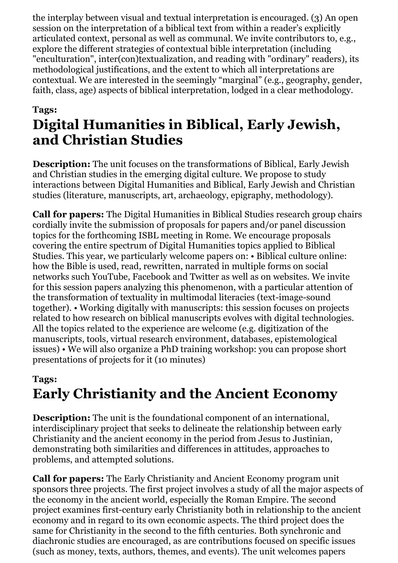the interplay between visual and textual interpretation is encouraged. (3) An open session on the interpretation of a biblical text from within a reader's explicitly articulated context, personal as well as communal. We invite contributors to, e.g., explore the different strategies of contextual bible interpretation (including "enculturation", inter(con)textualization, and reading with "ordinary" readers), its methodological justifications, and the extent to which all interpretations are contextual. We are interested in the seemingly "marginal" (e.g., geography, gender, faith, class, age) aspects of biblical interpretation, lodged in a clear methodology.

### **Tags: Digital Humanities in Biblical, Early Jewish, and Christian Studies**

**Description:** The unit focuses on the transformations of Biblical, Early Jewish and Christian studies in the emerging digital culture. We propose to study interactions between Digital Humanities and Biblical, Early Jewish and Christian studies (literature, manuscripts, art, archaeology, epigraphy, methodology).

**Call for papers:** The Digital Humanities in Biblical Studies research group chairs cordially invite the submission of proposals for papers and/or panel discussion topics for the forthcoming ISBL meeting in Rome. We encourage proposals covering the entire spectrum of Digital Humanities topics applied to Biblical Studies. This year, we particularly welcome papers on: • Biblical culture online: how the Bible is used, read, rewritten, narrated in multiple forms on social networks such YouTube, Facebook and Twitter as well as on websites. We invite for this session papers analyzing this phenomenon, with a particular attention of the transformation of textuality in multimodal literacies (text-image-sound together). • Working digitally with manuscripts: this session focuses on projects related to how research on biblical manuscripts evolves with digital technologies. All the topics related to the experience are welcome (e.g. digitization of the manuscripts, tools, virtual research environment, databases, epistemological issues) • We will also organize a PhD training workshop: you can propose short presentations of projects for it (10 minutes)

## **Tags: Early Christianity and the Ancient Economy**

**Description:** The unit is the foundational component of an international, interdisciplinary project that seeks to delineate the relationship between early Christianity and the ancient economy in the period from Jesus to Justinian, demonstrating both similarities and differences in attitudes, approaches to problems, and attempted solutions.

**Call for papers:** The Early Christianity and Ancient Economy program unit sponsors three projects. The first project involves a study of all the major aspects of the economy in the ancient world, especially the Roman Empire. The second project examines first-century early Christianity both in relationship to the ancient economy and in regard to its own economic aspects. The third project does the same for Christianity in the second to the fifth centuries. Both synchronic and diachronic studies are encouraged, as are contributions focused on specific issues (such as money, texts, authors, themes, and events). The unit welcomes papers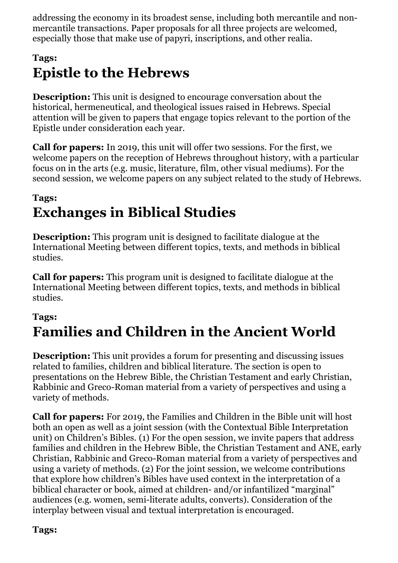addressing the economy in its broadest sense, including both mercantile and nonmercantile transactions. Paper proposals for all three projects are welcomed, especially those that make use of papyri, inscriptions, and other realia.

### **Tags: Epistle to the Hebrews**

**Description:** This unit is designed to encourage conversation about the historical, hermeneutical, and theological issues raised in Hebrews. Special attention will be given to papers that engage topics relevant to the portion of the Epistle under consideration each year.

**Call for papers:** In 2019, this unit will offer two sessions. For the first, we welcome papers on the reception of Hebrews throughout history, with a particular focus on in the arts (e.g. music, literature, film, other visual mediums). For the second session, we welcome papers on any subject related to the study of Hebrews.

### **Tags: Exchanges in Biblical Studies**

**Description:** This program unit is designed to facilitate dialogue at the International Meeting between different topics, texts, and methods in biblical studies.

**Call for papers:** This program unit is designed to facilitate dialogue at the International Meeting between different topics, texts, and methods in biblical studies.

#### **Tags:**

# **Families and Children in the Ancient World**

**Description:** This unit provides a forum for presenting and discussing issues related to families, children and biblical literature. The section is open to presentations on the Hebrew Bible, the Christian Testament and early Christian, Rabbinic and Greco-Roman material from a variety of perspectives and using a variety of methods.

**Call for papers:** For 2019, the Families and Children in the Bible unit will host both an open as well as a joint session (with the Contextual Bible Interpretation unit) on Children's Bibles. (1) For the open session, we invite papers that address families and children in the Hebrew Bible, the Christian Testament and ANE, early Christian, Rabbinic and Greco-Roman material from a variety of perspectives and using a variety of methods. (2) For the joint session, we welcome contributions that explore how children's Bibles have used context in the interpretation of a biblical character or book, aimed at children- and/or infantilized "marginal" audiences (e.g. women, semi-literate adults, converts). Consideration of the interplay between visual and textual interpretation is encouraged.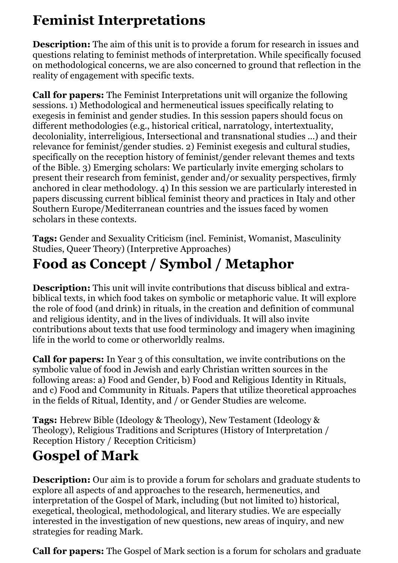# **Feminist Interpretations**

**Description:** The aim of this unit is to provide a forum for research in issues and questions relating to feminist methods of interpretation. While specifically focused on methodological concerns, we are also concerned to ground that reflection in the reality of engagement with specific texts.

**Call for papers:** The Feminist Interpretations unit will organize the following sessions. 1) Methodological and hermeneutical issues specifically relating to exegesis in feminist and gender studies. In this session papers should focus on different methodologies (e.g., historical critical, narratology, intertextuality, decoloniality, interreligious, Intersectional and transnational studies ...) and their relevance for feminist/gender studies. 2) Feminist exegesis and cultural studies, specifically on the reception history of feminist/gender relevant themes and texts of the Bible. 3) Emerging scholars: We particularly invite emerging scholars to present their research from feminist, gender and/or sexuality perspectives, firmly anchored in clear methodology. 4) In this session we are particularly interested in papers discussing current biblical feminist theory and practices in Italy and other Southern Europe/Mediterranean countries and the issues faced by women scholars in these contexts.

**Tags:** Gender and Sexuality Criticism (incl. Feminist, Womanist, Masculinity Studies, Queer Theory) (Interpretive Approaches)

# **Food as Concept / Symbol / Metaphor**

**Description:** This unit will invite contributions that discuss biblical and extrabiblical texts, in which food takes on symbolic or metaphoric value. It will explore the role of food (and drink) in rituals, in the creation and definition of communal and religious identity, and in the lives of individuals. It will also invite contributions about texts that use food terminology and imagery when imagining life in the world to come or otherworldly realms.

**Call for papers:** In Year 3 of this consultation, we invite contributions on the symbolic value of food in Jewish and early Christian written sources in the following areas: a) Food and Gender, b) Food and Religious Identity in Rituals, and c) Food and Community in Rituals. Papers that utilize theoretical approaches in the fields of Ritual, Identity, and / or Gender Studies are welcome.

**Tags:** Hebrew Bible (Ideology & Theology), New Testament (Ideology & Theology), Religious Traditions and Scriptures (History of Interpretation / Reception History / Reception Criticism)

# **Gospel of Mark**

**Description:** Our aim is to provide a forum for scholars and graduate students to explore all aspects of and approaches to the research, hermeneutics, and interpretation of the Gospel of Mark, including (but not limited to) historical, exegetical, theological, methodological, and literary studies. We are especially interested in the investigation of new questions, new areas of inquiry, and new strategies for reading Mark.

**Call for papers:** The Gospel of Mark section is a forum for scholars and graduate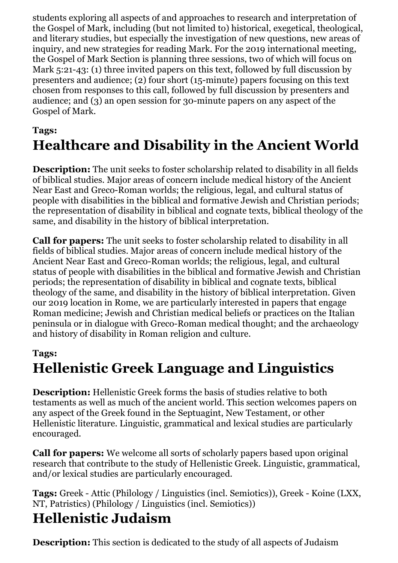students exploring all aspects of and approaches to research and interpretation of the Gospel of Mark, including (but not limited to) historical, exegetical, theological, and literary studies, but especially the investigation of new questions, new areas of inquiry, and new strategies for reading Mark. For the 2019 international meeting, the Gospel of Mark Section is planning three sessions, two of which will focus on Mark 5:21-43: (1) three invited papers on this text, followed by full discussion by presenters and audience; (2) four short (15-minute) papers focusing on this text chosen from responses to this call, followed by full discussion by presenters and audience; and (3) an open session for 30-minute papers on any aspect of the Gospel of Mark.

## **Tags: Healthcare and Disability in the Ancient World**

**Description:** The unit seeks to foster scholarship related to disability in all fields of biblical studies. Major areas of concern include medical history of the Ancient Near East and Greco-Roman worlds; the religious, legal, and cultural status of people with disabilities in the biblical and formative Jewish and Christian periods; the representation of disability in biblical and cognate texts, biblical theology of the same, and disability in the history of biblical interpretation.

**Call for papers:** The unit seeks to foster scholarship related to disability in all fields of biblical studies. Major areas of concern include medical history of the Ancient Near East and Greco-Roman worlds; the religious, legal, and cultural status of people with disabilities in the biblical and formative Jewish and Christian periods; the representation of disability in biblical and cognate texts, biblical theology of the same, and disability in the history of biblical interpretation. Given our 2019 location in Rome, we are particularly interested in papers that engage Roman medicine; Jewish and Christian medical beliefs or practices on the Italian peninsula or in dialogue with Greco-Roman medical thought; and the archaeology and history of disability in Roman religion and culture.

#### **Tags:**

# **Hellenistic Greek Language and Linguistics**

**Description:** Hellenistic Greek forms the basis of studies relative to both testaments as well as much of the ancient world. This section welcomes papers on any aspect of the Greek found in the Septuagint, New Testament, or other Hellenistic literature. Linguistic, grammatical and lexical studies are particularly encouraged.

**Call for papers:** We welcome all sorts of scholarly papers based upon original research that contribute to the study of Hellenistic Greek. Linguistic, grammatical, and/or lexical studies are particularly encouraged.

**Tags:** Greek - Attic (Philology / Linguistics (incl. Semiotics)), Greek - Koine (LXX, NT, Patristics) (Philology / Linguistics (incl. Semiotics))

# **Hellenistic Judaism**

**Description:** This section is dedicated to the study of all aspects of Judaism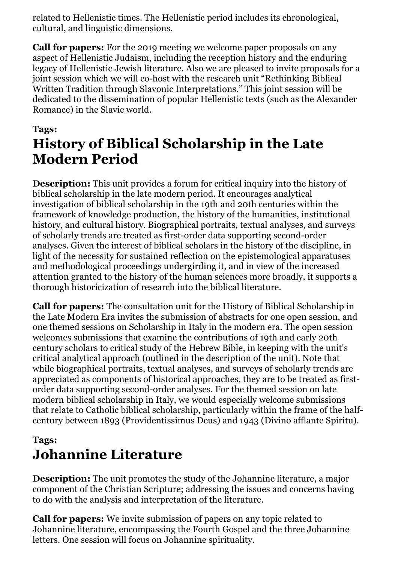related to Hellenistic times. The Hellenistic period includes its chronological, cultural, and linguistic dimensions.

**Call for papers:** For the 2019 meeting we welcome paper proposals on any aspect of Hellenistic Judaism, including the reception history and the enduring legacy of Hellenistic Jewish literature. Also we are pleased to invite proposals for a joint session which we will co-host with the research unit "Rethinking Biblical Written Tradition through Slavonic Interpretations." This joint session will be dedicated to the dissemination of popular Hellenistic texts (such as the Alexander Romance) in the Slavic world.

#### **Tags: History of Biblical Scholarship in the Late Modern Period**

**Description:** This unit provides a forum for critical inquiry into the history of biblical scholarship in the late modern period. It encourages analytical investigation of biblical scholarship in the 19th and 20th centuries within the framework of knowledge production, the history of the humanities, institutional history, and cultural history. Biographical portraits, textual analyses, and surveys of scholarly trends are treated as first-order data supporting second-order analyses. Given the interest of biblical scholars in the history of the discipline, in light of the necessity for sustained reflection on the epistemological apparatuses and methodological proceedings undergirding it, and in view of the increased attention granted to the history of the human sciences more broadly, it supports a thorough historicization of research into the biblical literature.

**Call for papers:** The consultation unit for the History of Biblical Scholarship in the Late Modern Era invites the submission of abstracts for one open session, and one themed sessions on Scholarship in Italy in the modern era. The open session welcomes submissions that examine the contributions of 19th and early 20th century scholars to critical study of the Hebrew Bible, in keeping with the unit's critical analytical approach (outlined in the description of the unit). Note that while biographical portraits, textual analyses, and surveys of scholarly trends are appreciated as components of historical approaches, they are to be treated as firstorder data supporting second-order analyses. For the themed session on late modern biblical scholarship in Italy, we would especially welcome submissions that relate to Catholic biblical scholarship, particularly within the frame of the halfcentury between 1893 (Providentissimus Deus) and 1943 (Divino afflante Spiritu).

### **Tags: Johannine Literature**

**Description:** The unit promotes the study of the Johannine literature, a major component of the Christian Scripture; addressing the issues and concerns having to do with the analysis and interpretation of the literature.

**Call for papers:** We invite submission of papers on any topic related to Johannine literature, encompassing the Fourth Gospel and the three Johannine letters. One session will focus on Johannine spirituality.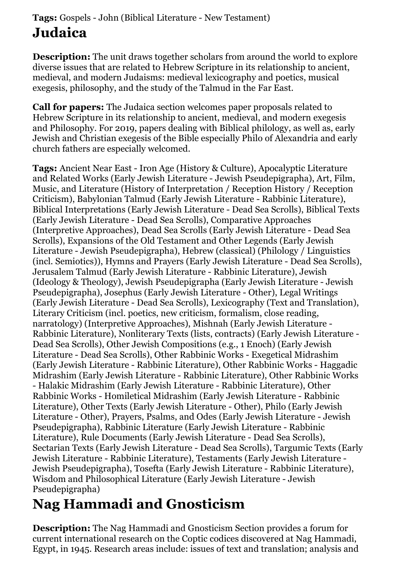### **Tags:** Gospels - John (Biblical Literature - New Testament) **Judaica**

**Description:** The unit draws together scholars from around the world to explore diverse issues that are related to Hebrew Scripture in its relationship to ancient, medieval, and modern Judaisms: medieval lexicography and poetics, musical exegesis, philosophy, and the study of the Talmud in the Far East.

**Call for papers:** The Judaica section welcomes paper proposals related to Hebrew Scripture in its relationship to ancient, medieval, and modern exegesis and Philosophy. For 2019, papers dealing with Biblical philology, as well as, early Jewish and Christian exegesis of the Bible especially Philo of Alexandria and early church fathers are especially welcomed.

**Tags:** Ancient Near East - Iron Age (History & Culture), Apocalyptic Literature and Related Works (Early Jewish Literature - Jewish Pseudepigrapha), Art, Film, Music, and Literature (History of Interpretation / Reception History / Reception Criticism), Babylonian Talmud (Early Jewish Literature - Rabbinic Literature), Biblical Interpretations (Early Jewish Literature - Dead Sea Scrolls), Biblical Texts (Early Jewish Literature - Dead Sea Scrolls), Comparative Approaches (Interpretive Approaches), Dead Sea Scrolls (Early Jewish Literature - Dead Sea Scrolls), Expansions of the Old Testament and Other Legends (Early Jewish Literature - Jewish Pseudepigrapha), Hebrew (classical) (Philology / Linguistics (incl. Semiotics)), Hymns and Prayers (Early Jewish Literature - Dead Sea Scrolls), Jerusalem Talmud (Early Jewish Literature - Rabbinic Literature), Jewish (Ideology & Theology), Jewish Pseudepigrapha (Early Jewish Literature - Jewish Pseudepigrapha), Josephus (Early Jewish Literature - Other), Legal Writings (Early Jewish Literature - Dead Sea Scrolls), Lexicography (Text and Translation), Literary Criticism (incl. poetics, new criticism, formalism, close reading, narratology) (Interpretive Approaches), Mishnah (Early Jewish Literature - Rabbinic Literature), Nonliterary Texts (lists, contracts) (Early Jewish Literature - Dead Sea Scrolls), Other Jewish Compositions (e.g., 1 Enoch) (Early Jewish Literature - Dead Sea Scrolls), Other Rabbinic Works - Exegetical Midrashim (Early Jewish Literature - Rabbinic Literature), Other Rabbinic Works - Haggadic Midrashim (Early Jewish Literature - Rabbinic Literature), Other Rabbinic Works - Halakic Midrashim (Early Jewish Literature - Rabbinic Literature), Other Rabbinic Works - Homiletical Midrashim (Early Jewish Literature - Rabbinic Literature), Other Texts (Early Jewish Literature - Other), Philo (Early Jewish Literature - Other), Prayers, Psalms, and Odes (Early Jewish Literature - Jewish Pseudepigrapha), Rabbinic Literature (Early Jewish Literature - Rabbinic Literature), Rule Documents (Early Jewish Literature - Dead Sea Scrolls), Sectarian Texts (Early Jewish Literature - Dead Sea Scrolls), Targumic Texts (Early Jewish Literature - Rabbinic Literature), Testaments (Early Jewish Literature - Jewish Pseudepigrapha), Tosefta (Early Jewish Literature - Rabbinic Literature), Wisdom and Philosophical Literature (Early Jewish Literature - Jewish Pseudepigrapha)

# **Nag Hammadi and Gnosticism**

**Description:** The Nag Hammadi and Gnosticism Section provides a forum for current international research on the Coptic codices discovered at Nag Hammadi, Egypt, in 1945. Research areas include: issues of text and translation; analysis and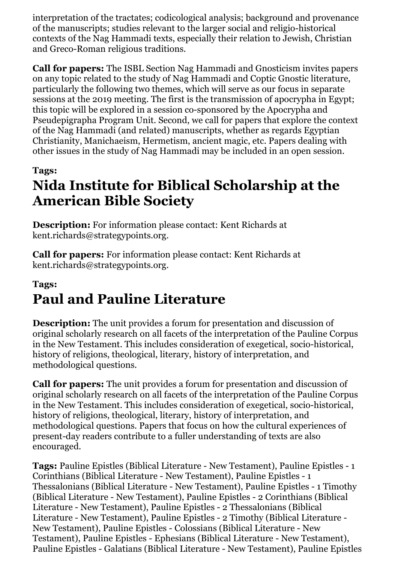interpretation of the tractates; codicological analysis; background and provenance of the manuscripts; studies relevant to the larger social and religio-historical contexts of the Nag Hammadi texts, especially their relation to Jewish, Christian and Greco-Roman religious traditions.

**Call for papers:** The ISBL Section Nag Hammadi and Gnosticism invites papers on any topic related to the study of Nag Hammadi and Coptic Gnostic literature, particularly the following two themes, which will serve as our focus in separate sessions at the 2019 meeting. The first is the transmission of apocrypha in Egypt; this topic will be explored in a session co-sponsored by the Apocrypha and Pseudepigrapha Program Unit. Second, we call for papers that explore the context of the Nag Hammadi (and related) manuscripts, whether as regards Egyptian Christianity, Manichaeism, Hermetism, ancient magic, etc. Papers dealing with other issues in the study of Nag Hammadi may be included in an open session.

#### **Tags:**

# **Nida Institute for Biblical Scholarship at the American Bible Society**

**Description:** For information please contact: Kent Richards at kent.richards@strategypoints.org.

**Call for papers:** For information please contact: Kent Richards at kent.richards@strategypoints.org.

### **Tags: Paul and Pauline Literature**

**Description:** The unit provides a forum for presentation and discussion of original scholarly research on all facets of the interpretation of the Pauline Corpus in the New Testament. This includes consideration of exegetical, socio-historical, history of religions, theological, literary, history of interpretation, and methodological questions.

**Call for papers:** The unit provides a forum for presentation and discussion of original scholarly research on all facets of the interpretation of the Pauline Corpus in the New Testament. This includes consideration of exegetical, socio-historical, history of religions, theological, literary, history of interpretation, and methodological questions. Papers that focus on how the cultural experiences of present-day readers contribute to a fuller understanding of texts are also encouraged.

**Tags:** Pauline Epistles (Biblical Literature - New Testament), Pauline Epistles - 1 Corinthians (Biblical Literature - New Testament), Pauline Epistles - 1 Thessalonians (Biblical Literature - New Testament), Pauline Epistles - 1 Timothy (Biblical Literature - New Testament), Pauline Epistles - 2 Corinthians (Biblical Literature - New Testament), Pauline Epistles - 2 Thessalonians (Biblical Literature - New Testament), Pauline Epistles - 2 Timothy (Biblical Literature - New Testament), Pauline Epistles - Colossians (Biblical Literature - New Testament), Pauline Epistles - Ephesians (Biblical Literature - New Testament), Pauline Epistles - Galatians (Biblical Literature - New Testament), Pauline Epistles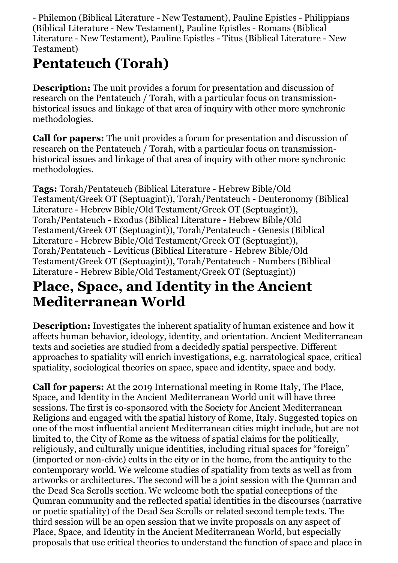- Philemon (Biblical Literature - New Testament), Pauline Epistles - Philippians (Biblical Literature - New Testament), Pauline Epistles - Romans (Biblical Literature - New Testament), Pauline Epistles - Titus (Biblical Literature - New Testament)

# **Pentateuch (Torah)**

**Description:** The unit provides a forum for presentation and discussion of research on the Pentateuch / Torah, with a particular focus on transmissionhistorical issues and linkage of that area of inquiry with other more synchronic methodologies.

**Call for papers:** The unit provides a forum for presentation and discussion of research on the Pentateuch / Torah, with a particular focus on transmissionhistorical issues and linkage of that area of inquiry with other more synchronic methodologies.

**Tags:** Torah/Pentateuch (Biblical Literature - Hebrew Bible/Old Testament/Greek OT (Septuagint)), Torah/Pentateuch - Deuteronomy (Biblical Literature - Hebrew Bible/Old Testament/Greek OT (Septuagint)), Torah/Pentateuch - Exodus (Biblical Literature - Hebrew Bible/Old Testament/Greek OT (Septuagint)), Torah/Pentateuch - Genesis (Biblical Literature - Hebrew Bible/Old Testament/Greek OT (Septuagint)), Torah/Pentateuch - Leviticus (Biblical Literature - Hebrew Bible/Old Testament/Greek OT (Septuagint)), Torah/Pentateuch - Numbers (Biblical Literature - Hebrew Bible/Old Testament/Greek OT (Septuagint))

# **Place, Space, and Identity in the Ancient Mediterranean World**

**Description:** Investigates the inherent spatiality of human existence and how it affects human behavior, ideology, identity, and orientation. Ancient Mediterranean texts and societies are studied from a decidedly spatial perspective. Different approaches to spatiality will enrich investigations, e.g. narratological space, critical spatiality, sociological theories on space, space and identity, space and body.

**Call for papers:** At the 2019 International meeting in Rome Italy, The Place, Space, and Identity in the Ancient Mediterranean World unit will have three sessions. The first is co-sponsored with the Society for Ancient Mediterranean Religions and engaged with the spatial history of Rome, Italy. Suggested topics on one of the most influential ancient Mediterranean cities might include, but are not limited to, the City of Rome as the witness of spatial claims for the politically, religiously, and culturally unique identities, including ritual spaces for "foreign" (imported or non-civic) cults in the city or in the home, from the antiquity to the contemporary world. We welcome studies of spatiality from texts as well as from artworks or architectures. The second will be a joint session with the Qumran and the Dead Sea Scrolls section. We welcome both the spatial conceptions of the Qumran community and the reflected spatial identities in the discourses (narrative or poetic spatiality) of the Dead Sea Scrolls or related second temple texts. The third session will be an open session that we invite proposals on any aspect of Place, Space, and Identity in the Ancient Mediterranean World, but especially proposals that use critical theories to understand the function of space and place in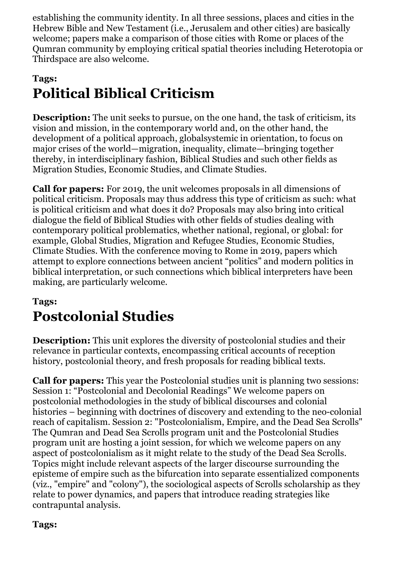establishing the community identity. In all three sessions, places and cities in the Hebrew Bible and New Testament (i.e., Jerusalem and other cities) are basically welcome; papers make a comparison of those cities with Rome or places of the Qumran community by employing critical spatial theories including Heterotopia or Thirdspace are also welcome.

## **Tags: Political Biblical Criticism**

**Description:** The unit seeks to pursue, on the one hand, the task of criticism, its vision and mission, in the contemporary world and, on the other hand, the development of a political approach, globalsystemic in orientation, to focus on major crises of the world—migration, inequality, climate—bringing together thereby, in interdisciplinary fashion, Biblical Studies and such other fields as Migration Studies, Economic Studies, and Climate Studies.

**Call for papers:** For 2019, the unit welcomes proposals in all dimensions of political criticism. Proposals may thus address this type of criticism as such: what is political criticism and what does it do? Proposals may also bring into critical dialogue the field of Biblical Studies with other fields of studies dealing with contemporary political problematics, whether national, regional, or global: for example, Global Studies, Migration and Refugee Studies, Economic Studies, Climate Studies. With the conference moving to Rome in 2019, papers which attempt to explore connections between ancient "politics" and modern politics in biblical interpretation, or such connections which biblical interpreters have been making, are particularly welcome.

### **Tags: Postcolonial Studies**

**Description:** This unit explores the diversity of postcolonial studies and their relevance in particular contexts, encompassing critical accounts of reception history, postcolonial theory, and fresh proposals for reading biblical texts.

**Call for papers:** This year the Postcolonial studies unit is planning two sessions: Session 1: "Postcolonial and Decolonial Readings" We welcome papers on postcolonial methodologies in the study of biblical discourses and colonial histories – beginning with doctrines of discovery and extending to the neo-colonial reach of capitalism. Session 2: "Postcolonialism, Empire, and the Dead Sea Scrolls" The Qumran and Dead Sea Scrolls program unit and the Postcolonial Studies program unit are hosting a joint session, for which we welcome papers on any aspect of postcolonialism as it might relate to the study of the Dead Sea Scrolls. Topics might include relevant aspects of the larger discourse surrounding the episteme of empire such as the bifurcation into separate essentialized components (viz., "empire" and "colony"), the sociological aspects of Scrolls scholarship as they relate to power dynamics, and papers that introduce reading strategies like contrapuntal analysis.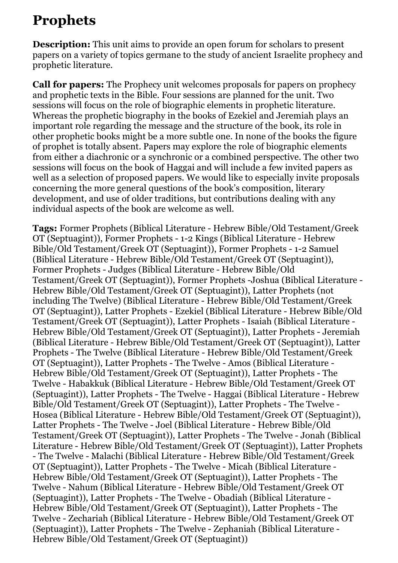## **Prophets**

**Description:** This unit aims to provide an open forum for scholars to present papers on a variety of topics germane to the study of ancient Israelite prophecy and prophetic literature.

**Call for papers:** The Prophecy unit welcomes proposals for papers on prophecy and prophetic texts in the Bible. Four sessions are planned for the unit. Two sessions will focus on the role of biographic elements in prophetic literature. Whereas the prophetic biography in the books of Ezekiel and Jeremiah plays an important role regarding the message and the structure of the book, its role in other prophetic books might be a more subtle one. In none of the books the figure of prophet is totally absent. Papers may explore the role of biographic elements from either a diachronic or a synchronic or a combined perspective. The other two sessions will focus on the book of Haggai and will include a few invited papers as well as a selection of proposed papers. We would like to especially invite proposals concerning the more general questions of the book's composition, literary development, and use of older traditions, but contributions dealing with any individual aspects of the book are welcome as well.

**Tags:** Former Prophets (Biblical Literature - Hebrew Bible/Old Testament/Greek OT (Septuagint)), Former Prophets - 1-2 Kings (Biblical Literature - Hebrew Bible/Old Testament/Greek OT (Septuagint)), Former Prophets - 1-2 Samuel (Biblical Literature - Hebrew Bible/Old Testament/Greek OT (Septuagint)), Former Prophets - Judges (Biblical Literature - Hebrew Bible/Old Testament/Greek OT (Septuagint)), Former Prophets -Joshua (Biblical Literature - Hebrew Bible/Old Testament/Greek OT (Septuagint)), Latter Prophets (not including The Twelve) (Biblical Literature - Hebrew Bible/Old Testament/Greek OT (Septuagint)), Latter Prophets - Ezekiel (Biblical Literature - Hebrew Bible/Old Testament/Greek OT (Septuagint)), Latter Prophets - Isaiah (Biblical Literature - Hebrew Bible/Old Testament/Greek OT (Septuagint)), Latter Prophets - Jeremiah (Biblical Literature - Hebrew Bible/Old Testament/Greek OT (Septuagint)), Latter Prophets - The Twelve (Biblical Literature - Hebrew Bible/Old Testament/Greek OT (Septuagint)), Latter Prophets - The Twelve - Amos (Biblical Literature - Hebrew Bible/Old Testament/Greek OT (Septuagint)), Latter Prophets - The Twelve - Habakkuk (Biblical Literature - Hebrew Bible/Old Testament/Greek OT (Septuagint)), Latter Prophets - The Twelve - Haggai (Biblical Literature - Hebrew Bible/Old Testament/Greek OT (Septuagint)), Latter Prophets - The Twelve - Hosea (Biblical Literature - Hebrew Bible/Old Testament/Greek OT (Septuagint)), Latter Prophets - The Twelve - Joel (Biblical Literature - Hebrew Bible/Old Testament/Greek OT (Septuagint)), Latter Prophets - The Twelve - Jonah (Biblical Literature - Hebrew Bible/Old Testament/Greek OT (Septuagint)), Latter Prophets - The Twelve - Malachi (Biblical Literature - Hebrew Bible/Old Testament/Greek OT (Septuagint)), Latter Prophets - The Twelve - Micah (Biblical Literature - Hebrew Bible/Old Testament/Greek OT (Septuagint)), Latter Prophets - The Twelve - Nahum (Biblical Literature - Hebrew Bible/Old Testament/Greek OT (Septuagint)), Latter Prophets - The Twelve - Obadiah (Biblical Literature - Hebrew Bible/Old Testament/Greek OT (Septuagint)), Latter Prophets - The Twelve - Zechariah (Biblical Literature - Hebrew Bible/Old Testament/Greek OT (Septuagint)), Latter Prophets - The Twelve - Zephaniah (Biblical Literature - Hebrew Bible/Old Testament/Greek OT (Septuagint))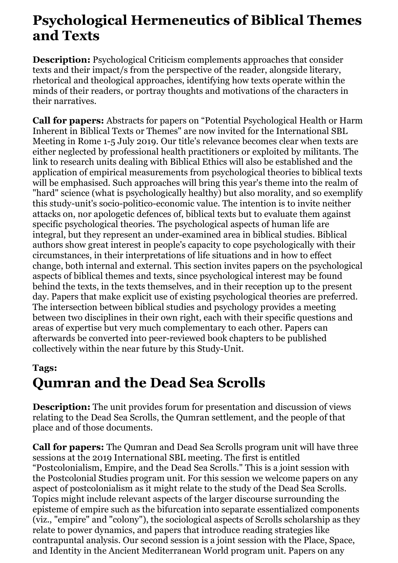## **Psychological Hermeneutics of Biblical Themes and Texts**

**Description:** Psychological Criticism complements approaches that consider texts and their impact/s from the perspective of the reader, alongside literary, rhetorical and theological approaches, identifying how texts operate within the minds of their readers, or portray thoughts and motivations of the characters in their narratives.

**Call for papers:** Abstracts for papers on "Potential Psychological Health or Harm Inherent in Biblical Texts or Themes" are now invited for the International SBL Meeting in Rome 1-5 July 2019. Our title's relevance becomes clear when texts are either neglected by professional health practitioners or exploited by militants. The link to research units dealing with Biblical Ethics will also be established and the application of empirical measurements from psychological theories to biblical texts will be emphasised. Such approaches will bring this year's theme into the realm of "hard" science (what is psychologically healthy) but also morality, and so exemplify this study-unit's socio-politico-economic value. The intention is to invite neither attacks on, nor apologetic defences of, biblical texts but to evaluate them against specific psychological theories. The psychological aspects of human life are integral, but they represent an under-examined area in biblical studies. Biblical authors show great interest in people's capacity to cope psychologically with their circumstances, in their interpretations of life situations and in how to effect change, both internal and external. This section invites papers on the psychological aspects of biblical themes and texts, since psychological interest may be found behind the texts, in the texts themselves, and in their reception up to the present day. Papers that make explicit use of existing psychological theories are preferred. The intersection between biblical studies and psychology provides a meeting between two disciplines in their own right, each with their specific questions and areas of expertise but very much complementary to each other. Papers can afterwards be converted into peer-reviewed book chapters to be published collectively within the near future by this Study-Unit.

#### **Tags:**

# **Qumran and the Dead Sea Scrolls**

**Description:** The unit provides forum for presentation and discussion of views relating to the Dead Sea Scrolls, the Qumran settlement, and the people of that place and of those documents.

**Call for papers:** The Qumran and Dead Sea Scrolls program unit will have three sessions at the 2019 International SBL meeting. The first is entitled "Postcolonialism, Empire, and the Dead Sea Scrolls." This is a joint session with the Postcolonial Studies program unit. For this session we welcome papers on any aspect of postcolonialism as it might relate to the study of the Dead Sea Scrolls. Topics might include relevant aspects of the larger discourse surrounding the episteme of empire such as the bifurcation into separate essentialized components (viz., "empire" and "colony"), the sociological aspects of Scrolls scholarship as they relate to power dynamics, and papers that introduce reading strategies like contrapuntal analysis. Our second session is a joint session with the Place, Space, and Identity in the Ancient Mediterranean World program unit. Papers on any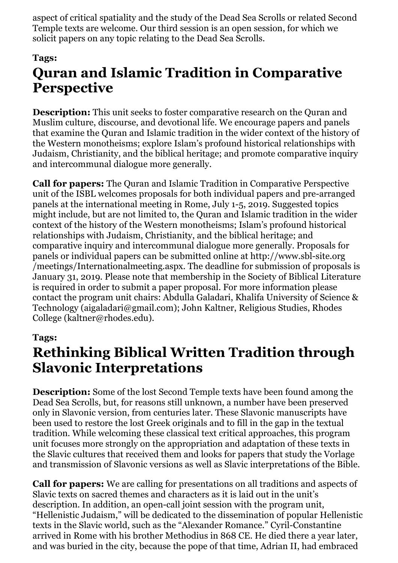aspect of critical spatiality and the study of the Dead Sea Scrolls or related Second Temple texts are welcome. Our third session is an open session, for which we solicit papers on any topic relating to the Dead Sea Scrolls.

#### **Tags:**

# **Quran and Islamic Tradition in Comparative Perspective**

**Description:** This unit seeks to foster comparative research on the Quran and Muslim culture, discourse, and devotional life. We encourage papers and panels that examine the Quran and Islamic tradition in the wider context of the history of the Western monotheisms; explore Islam's profound historical relationships with Judaism, Christianity, and the biblical heritage; and promote comparative inquiry and intercommunal dialogue more generally.

**Call for papers:** The Quran and Islamic Tradition in Comparative Perspective unit of the ISBL welcomes proposals for both individual papers and pre-arranged panels at the international meeting in Rome, July 1-5, 2019. Suggested topics might include, but are not limited to, the Quran and Islamic tradition in the wider context of the history of the Western monotheisms; Islam's profound historical relationships with Judaism, Christianity, and the biblical heritage; and comparative inquiry and intercommunal dialogue more generally. Proposals for panels or individual papers can be submitted online at http://www.sbl-site.org /meetings/Internationalmeeting.aspx. The deadline for submission of proposals is January 31, 2019. Please note that membership in the Society of Biblical Literature is required in order to submit a paper proposal. For more information please contact the program unit chairs: Abdulla Galadari, Khalifa University of Science & Technology (aigaladari@gmail.com); John Kaltner, Religious Studies, Rhodes College (kaltner@rhodes.edu).

#### **Tags:**

## **Rethinking Biblical Written Tradition through Slavonic Interpretations**

**Description:** Some of the lost Second Temple texts have been found among the Dead Sea Scrolls, but, for reasons still unknown, a number have been preserved only in Slavonic version, from centuries later. These Slavonic manuscripts have been used to restore the lost Greek originals and to fill in the gap in the textual tradition. While welcoming these classical text critical approaches, this program unit focuses more strongly on the appropriation and adaptation of these texts in the Slavic cultures that received them and looks for papers that study the Vorlage and transmission of Slavonic versions as well as Slavic interpretations of the Bible.

**Call for papers:** We are calling for presentations on all traditions and aspects of Slavic texts on sacred themes and characters as it is laid out in the unit's description. In addition, an open-call joint session with the program unit, "Hellenistic Judaism," will be dedicated to the dissemination of popular Hellenistic texts in the Slavic world, such as the "Alexander Romance." Cyril-Constantine arrived in Rome with his brother Methodius in 868 CE. He died there a year later, and was buried in the city, because the pope of that time, Adrian II, had embraced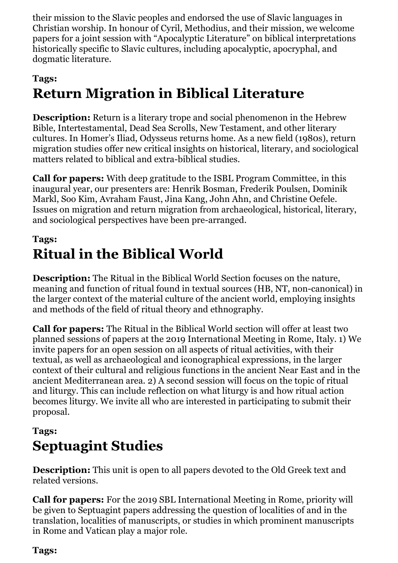their mission to the Slavic peoples and endorsed the use of Slavic languages in Christian worship. In honour of Cyril, Methodius, and their mission, we welcome papers for a joint session with "Apocalyptic Literature" on biblical interpretations historically specific to Slavic cultures, including apocalyptic, apocryphal, and dogmatic literature.

#### **Tags:**

# **Return Migration in Biblical Literature**

**Description:** Return is a literary trope and social phenomenon in the Hebrew Bible, Intertestamental, Dead Sea Scrolls, New Testament, and other literary cultures. In Homer's Iliad, Odysseus returns home. As a new field (1980s), return migration studies offer new critical insights on historical, literary, and sociological matters related to biblical and extra-biblical studies.

**Call for papers:** With deep gratitude to the ISBL Program Committee, in this inaugural year, our presenters are: Henrik Bosman, Frederik Poulsen, Dominik Markl, Soo Kim, Avraham Faust, Jina Kang, John Ahn, and Christine Oefele. Issues on migration and return migration from archaeological, historical, literary, and sociological perspectives have been pre-arranged.

### **Tags: Ritual in the Biblical World**

**Description:** The Ritual in the Biblical World Section focuses on the nature, meaning and function of ritual found in textual sources (HB, NT, non-canonical) in the larger context of the material culture of the ancient world, employing insights and methods of the field of ritual theory and ethnography.

**Call for papers:** The Ritual in the Biblical World section will offer at least two planned sessions of papers at the 2019 International Meeting in Rome, Italy. 1) We invite papers for an open session on all aspects of ritual activities, with their textual, as well as archaeological and iconographical expressions, in the larger context of their cultural and religious functions in the ancient Near East and in the ancient Mediterranean area. 2) A second session will focus on the topic of ritual and liturgy. This can include reflection on what liturgy is and how ritual action becomes liturgy. We invite all who are interested in participating to submit their proposal.

### **Tags: Septuagint Studies**

**Description:** This unit is open to all papers devoted to the Old Greek text and related versions.

**Call for papers:** For the 2019 SBL International Meeting in Rome, priority will be given to Septuagint papers addressing the question of localities of and in the translation, localities of manuscripts, or studies in which prominent manuscripts in Rome and Vatican play a major role.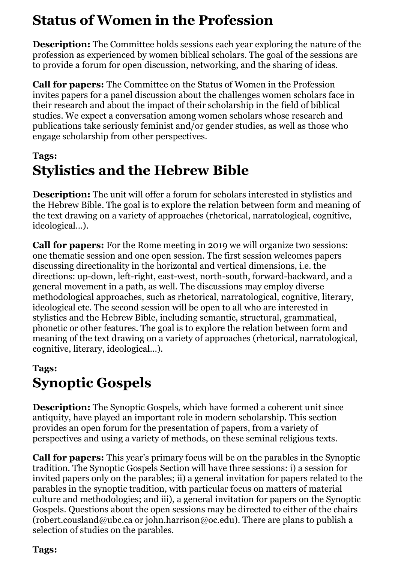# **Status of Women in the Profession**

**Description:** The Committee holds sessions each year exploring the nature of the profession as experienced by women biblical scholars. The goal of the sessions are to provide a forum for open discussion, networking, and the sharing of ideas.

**Call for papers:** The Committee on the Status of Women in the Profession invites papers for a panel discussion about the challenges women scholars face in their research and about the impact of their scholarship in the field of biblical studies. We expect a conversation among women scholars whose research and publications take seriously feminist and/or gender studies, as well as those who engage scholarship from other perspectives.

### **Tags: Stylistics and the Hebrew Bible**

**Description:** The unit will offer a forum for scholars interested in stylistics and the Hebrew Bible. The goal is to explore the relation between form and meaning of the text drawing on a variety of approaches (rhetorical, narratological, cognitive, ideological…).

**Call for papers:** For the Rome meeting in 2019 we will organize two sessions: one thematic session and one open session. The first session welcomes papers discussing directionality in the horizontal and vertical dimensions, i.e. the directions: up-down, left-right, east-west, north-south, forward-backward, and a general movement in a path, as well. The discussions may employ diverse methodological approaches, such as rhetorical, narratological, cognitive, literary, ideological etc. The second session will be open to all who are interested in stylistics and the Hebrew Bible, including semantic, structural, grammatical, phonetic or other features. The goal is to explore the relation between form and meaning of the text drawing on a variety of approaches (rhetorical, narratological, cognitive, literary, ideological…).

### **Tags: Synoptic Gospels**

**Description:** The Synoptic Gospels, which have formed a coherent unit since antiquity, have played an important role in modern scholarship. This section provides an open forum for the presentation of papers, from a variety of perspectives and using a variety of methods, on these seminal religious texts.

**Call for papers:** This year's primary focus will be on the parables in the Synoptic tradition. The Synoptic Gospels Section will have three sessions: i) a session for invited papers only on the parables; ii) a general invitation for papers related to the parables in the synoptic tradition, with particular focus on matters of material culture and methodologies; and iii), a general invitation for papers on the Synoptic Gospels. Questions about the open sessions may be directed to either of the chairs (robert.cousland@ubc.ca or john.harrison@oc.edu). There are plans to publish a selection of studies on the parables.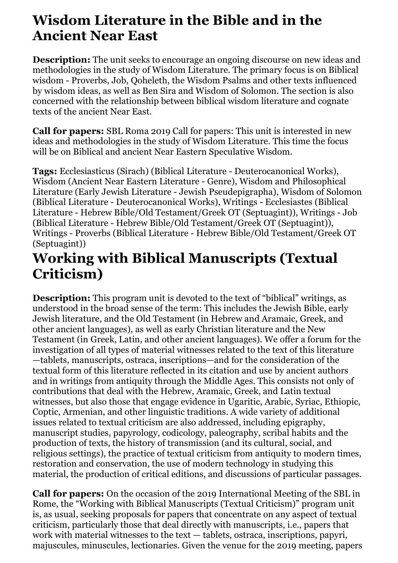## **Wisdom Literature in the Bible and in the Ancient Near East**

**Description:** The unit seeks to encourage an ongoing discourse on new ideas and methodologies in the study of Wisdom Literature. The primary focus is on Biblical wisdom - Proverbs, Job, Qoheleth, the Wisdom Psalms and other texts influenced by wisdom ideas, as well as Ben Sira and Wisdom of Solomon. The section is also concerned with the relationship between biblical wisdom literature and cognate texts of the ancient Near East.

**Call for papers:** SBL Roma 2019 Call for papers: This unit is interested in new ideas and methodologies in the study of Wisdom Literature. This time the focus will be on Biblical and ancient Near Eastern Speculative Wisdom.

**Tags:** Ecclesiasticus (Sirach) (Biblical Literature - Deuterocanonical Works), Wisdom (Ancient Near Eastern Literature - Genre), Wisdom and Philosophical Literature (Early Jewish Literature - Jewish Pseudepigrapha), Wisdom of Solomon (Biblical Literature - Deuterocanonical Works), Writings - Ecclesiastes (Biblical Literature - Hebrew Bible/Old Testament/Greek OT (Septuagint)), Writings - Job (Biblical Literature - Hebrew Bible/Old Testament/Greek OT (Septuagint)), Writings - Proverbs (Biblical Literature - Hebrew Bible/Old Testament/Greek OT (Septuagint))

## **Working with Biblical Manuscripts (Textual Criticism)**

**Description:** This program unit is devoted to the text of "biblical" writings, as understood in the broad sense of the term: This includes the Jewish Bible, early Jewish literature, and the Old Testament (in Hebrew and Aramaic, Greek, and other ancient languages), as well as early Christian literature and the New Testament (in Greek, Latin, and other ancient languages). We offer a forum for the investigation of all types of material witnesses related to the text of this literature —tablets, manuscripts, ostraca, inscriptions—and for the consideration of the textual form of this literature reflected in its citation and use by ancient authors and in writings from antiquity through the Middle Ages. This consists not only of contributions that deal with the Hebrew, Aramaic, Greek, and Latin textual witnesses, but also those that engage evidence in Ugaritic, Arabic, Syriac, Ethiopic, Coptic, Armenian, and other linguistic traditions. A wide variety of additional issues related to textual criticism are also addressed, including epigraphy, manuscript studies, papyrology, codicology, paleography, scribal habits and the production of texts, the history of transmission (and its cultural, social, and religious settings), the practice of textual criticism from antiquity to modern times, restoration and conservation, the use of modern technology in studying this material, the production of critical editions, and discussions of particular passages.

**Call for papers:** On the occasion of the 2019 International Meeting of the SBL in Rome, the "Working with Biblical Manuscripts (Textual Criticism)" program unit is, as usual, seeking proposals for papers that concentrate on any aspect of textual criticism, particularly those that deal directly with manuscripts, i.e., papers that work with material witnesses to the text — tablets, ostraca, inscriptions, papyri, majuscules, minuscules, lectionaries. Given the venue for the 2019 meeting, papers